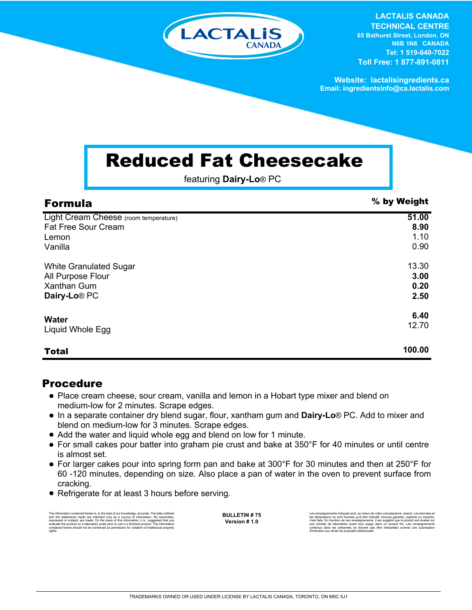

**LACTALIS CANADA TECHNICAL CENTRE 65 Bathurst Street, London, ON N6B 1N8 CANADA Tel: 1 519-640-7022 Toll Free: 1 877-891-0811**

**Website: lactalisingredients.ca Email: ingredientsinfo@ca.lactalis.com**

## Reduced Fat Cheesecake

featuring **Dairy-Lo**® PC

| <b>Formula</b>                        | % by Weight |
|---------------------------------------|-------------|
| Light Cream Cheese (room temperature) | 51.00       |
| <b>Fat Free Sour Cream</b>            | 8.90        |
| Lemon                                 | 1.10        |
| Vanilla                               | 0.90        |
| <b>White Granulated Sugar</b>         | 13.30       |
| All Purpose Flour                     | 3.00        |
| <b>Xanthan Gum</b>                    | 0.20        |
| Dairy-Lo <sup>®</sup> PC              | 2.50        |
| <b>Water</b>                          | 6.40        |
| Liquid Whole Egg                      | 12.70       |
|                                       |             |
| <b>Total</b>                          | 100.00      |

## Procedure

- Place cream cheese, sour cream, vanilla and lemon in a Hobart type mixer and blend on medium-low for 2 minutes. Scrape edges.
- In a separate container dry blend sugar, flour, xantham gum and **Dairy-Lo**® PC. Add to mixer and blend on medium-low for 3 minutes. Scrape edges.
- Add the water and liquid whole egg and blend on low for 1 minute.
- For small cakes pour batter into graham pie crust and bake at 350°F for 40 minutes or until centre is almost set.
- For larger cakes pour into spring form pan and bake at 300°F for 30 minutes and then at 250°F for 60 -120 minutes, depending on size. Also place a pan of water in the oven to prevent surface from cracking.
- Refrigerate for at least 3 hours before serving.

The information contained herein is, to the best of our knowledge, accurate. The data outlined<br>and the statements made are intended only as a a source of information. No warranties,<br>expressed or implied, are made. On the b rights.

**BULLETIN # 75 Version # 1.0**

Les renseignements indiqués sont, au mieux de notre connaissance, exacts. Les données et<br>les déclarations ne sont fournies qu'à titre indicatif. Aucune garantie, explicite ou implicite,<br>riest faite. En fonction de ces rens